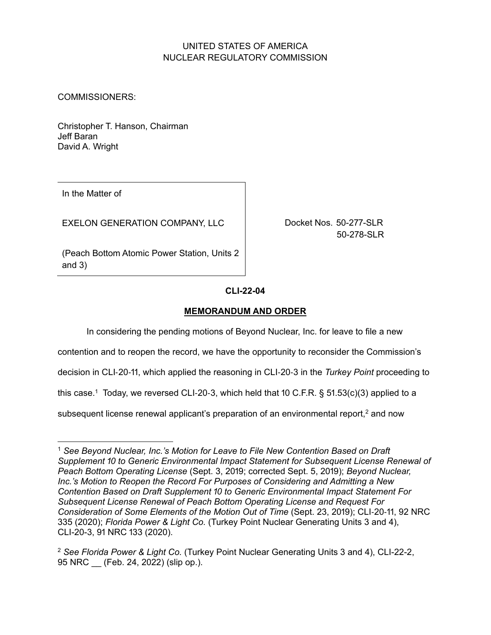# UNITED STATES OF AMERICA NUCLEAR REGULATORY COMMISSION

COMMISSIONERS:

Christopher T. Hanson, Chairman Jeff Baran David A. Wright

In the Matter of

EXELON GENERATION COMPANY, LLC

Docket Nos. 50-277-SLR 50-278-SLR

(Peach Bottom Atomic Power Station, Units 2 and  $3)$ 

## **CLI-൭൭-൫൯**

## **MEMORANDUM AND ORDER**

In considering the pending motions of Beyond Nuclear, Inc. for leave to file a new

contention and to reopen the record, we have the opportunity to reconsider the Commission's

decision in CLI-20-11, which applied the reasoning in CLI-20-3 in the *Turkey Point* proceeding to

this case.<sup>1</sup> Today, we reversed CLI-20-3, which held that  $10 \text{ C.F.R.}$  §  $51.53(c)(3)$  applied to a

subsequent license renewal applicant's preparation of an environmental report, $2$  and now

<sup>1</sup> *See Beyond Nuclear, Inc.'s Motion for Leave to File New Contention Based on Draft*  Supplement 10 to Generic Environmental Impact Statement for Subsequent License Renewal of *Peach Bottom Operating License (Sept. 3, 2019; corrected Sept. 5, 2019); <i>Beyond Nuclear, Inc.'s Motion to Reopen the Record For Purposes of Considering and Admitting a New Contention Based on Draft Supplement ਃਂ to Generic Environmental Impact Statement For Subsequent License Renewal of Peach Bottom Operating License and Request For Consideration of Some Elements of the Motion Out of Time (Sept. 23, 2019); CLI-20-11, 92 NRC* ვვ5 (2020); *Florida Power & Light Co.* (Turkey Point Nuclear Generating Units 3 and 4), CLI-20-3, 91 NRC 133 (2020).

<sup>&</sup>lt;sup>2</sup> See Florida Power & Light Co. (Turkey Point Nuclear Generating Units 3 and 4), CLI-22-2, 95 NRC (Feb. 24, 2022) (slip op.).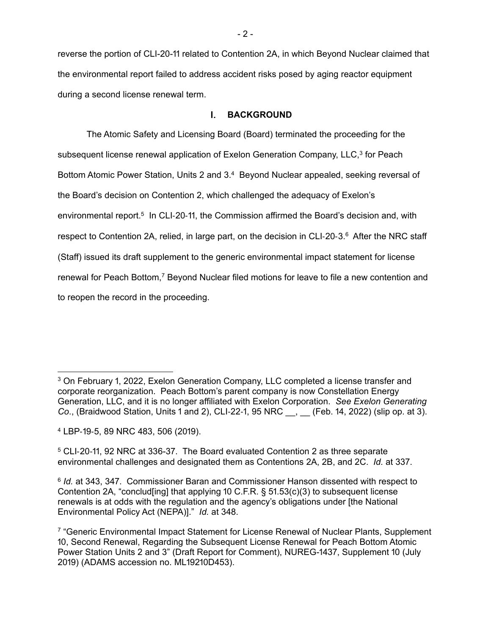reverse the portion of CLI-20-11 related to Contention 2A, in which Beyond Nuclear claimed that the environmental report failed to address accident risks posed by aging reactor equipment during a second license renewal term.

#### $\mathbf{L}$ **BACKGROUND**

The Atomic Safety and Licensing Board (Board) terminated the proceeding for the subsequent license renewal application of Exelon Generation Company, LLC,<sup>3</sup> for Peach Bottom Atomic Power Station, Units 2 and 3.<sup>4</sup> Beyond Nuclear appealed, seeking reversal of the Board's decision on Contention 2, which challenged the adequacy of Exelon's environmental report.<sup>5</sup> In CLI-20-11, the Commission affirmed the Board's decision and, with respect to Contention 2A, relied, in large part, on the decision in CLI-20-3.<sup>6</sup> After the NRC staff (Staff) issued its draft supplement to the generic environmental impact statement for license renewal for Peach Bottom,<sup>7</sup> Beyond Nuclear filed motions for leave to file a new contention and to reopen the record in the proceeding.

 $3$  On February 1, 2022, Exelon Generation Company, LLC completed a license transfer and corporate reorganization. Peach Bottom's parent company is now Constellation Energy Generation, LLC, and it is no longer affiliated with Exelon Corporation. *See Exelon Generating Co.*, (Braidwood Station, Units 1 and 2), CLI-22-1, 95 NRC \_\_, \_\_ (Feb. 14, 2022) (slip op. at 3).

<sup>4</sup> LBP-19-5, 89 NRC 483, 506 (2019).

<sup>5</sup> CLI-20-11, 92 NRC at 336-37. The Board evaluated Contention 2 as three separate environmental challenges and designated them as Contentions 2A, 2B, and 2C. *Id.* at 337.

<sup>&</sup>lt;sup>6</sup> *Id.* at 343, 347. Commissioner Baran and Commissioner Hanson dissented with respect to Contention 2A, "conclud[ing] that applying 10 C.F.R. §  $51.53(c)(3)$  to subsequent license renewals is at odds with the regulation and the agency's obligations under [the National Environmental Policy Act (NEPA)]." *Id.* at 348.

<sup>&</sup>lt;sup>7</sup> "Generic Environmental Impact Statement for License Renewal of Nuclear Plants, Supplement 10, Second Renewal, Regarding the Subsequent License Renewal for Peach Bottom Atomic Power Station Units 2 and 3" (Draft Report for Comment), NUREG-1437, Supplement 10 (July 2019) (ADAMS accession no. ML19210D453).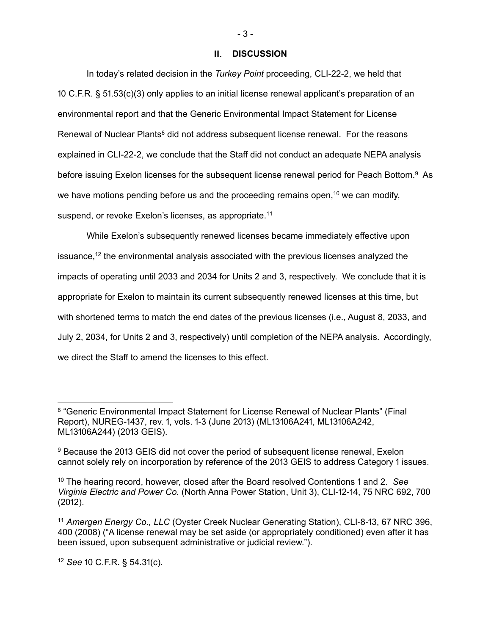### **DISCUSSION**

In today's related decision in the *Turkey Point* proceeding, CLI-22-2, we held that 10 C.F.R. §  $51.53(c)(3)$  only applies to an initial license renewal applicant's preparation of an environmental report and that the Generic Environmental Impact Statement for License Renewal of Nuclear Plants<sup>8</sup> did not address subsequent license renewal. For the reasons explained in CLI-22-2, we conclude that the Staff did not conduct an adequate NEPA analysis before issuing Exelon licenses for the subsequent license renewal period for Peach Bottom.9 As we have motions pending before us and the proceeding remains open,  $10$  we can modify, suspend, or revoke Exelon's licenses, as appropriate.<sup>11</sup>

While Exelon's subsequently renewed licenses became immediately effective upon issuance,<sup>12</sup> the environmental analysis associated with the previous licenses analyzed the impacts of operating until 2033 and 2034 for Units 2 and 3, respectively. We conclude that it is appropriate for Exelon to maintain its current subsequently renewed licenses at this time, but with shortened terms to match the end dates of the previous licenses (i.e., August 8, 2033, and July 2, 2034, for Units 2 and 3, respectively) until completion of the NEPA analysis. Accordingly, we direct the Staff to amend the licenses to this effect.

12 See 10 C.F.R. § 54.31(c).

 $-3 -$ 

<sup>8 &</sup>quot;Generic Environmental Impact Statement for License Renewal of Nuclear Plants" (Final Report), NUREG-1437, rev. 1, vols. 1-3 (June 2013) (ML13106A241, ML13106A242, ML13106A244) (2013 GEIS).

<sup>9</sup> Because the 2013 GEIS did not cover the period of subsequent license renewal, Exelon cannot solely rely on incorporation by reference of the 2013 GEIS to address Category 1 issues.

<sup>&</sup>lt;sup>10</sup> The hearing record, however, closed after the Board resolved Contentions 1 and 2. *See Virginia Electric and Power Co.* (North Anna Power Station, Unit 3), CLI-12-14, 75 NRC 692, 700  $(2012).$ 

<sup>&</sup>lt;sup>11</sup> Amergen Energy Co., LLC (Oyster Creek Nuclear Generating Station), CLI-8-13, 67 NRC 396, 400 (2008) ("A license renewal may be set aside (or appropriately conditioned) even after it has been issued, upon subsequent administrative or judicial review.").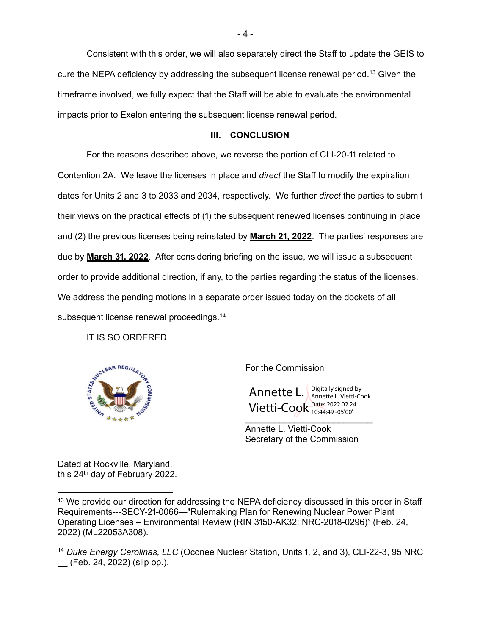Consistent with this order, we will also separately direct the Staff to update the GEIS to cure the NEPA deficiency by addressing the subsequent license renewal period.13 Given the timeframe involved, we fully expect that the Staff will be able to evaluate the environmental impacts prior to Exelon entering the subsequent license renewal period.

### **III. CONCLUSION**

For the reasons described above, we reverse the portion of CLI-20-11 related to Contention ൭A. We leave the licenses in place and *direct* the Staff to modify the expiration dates for Units 2 and 3 to 2033 and 2034, respectively. We further *direct* the parties to submit their views on the practical effects of (1) the subsequent renewed licenses continuing in place and (2) the previous licenses being reinstated by **March 21, 2022**. The parties' responses are due by **March 31, 2022**. After considering briefing on the issue, we will issue a subsequent order to provide additional direction, if any, to the parties regarding the status of the licenses. We address the pending motions in a separate order issued today on the dockets of all subsequent license renewal proceedings.<sup>14</sup>

IT IS SO ORDERED.



For the Commission

Annette L. Vietti-Cook Date: 2022.02.24 Digitally signed by Annette L. Vietti-Cook 10:44:49 -05'00'

Annette L. Vietti-Cook Secretary of the Commission

Dated at Rockville, Maryland, this 24<sup>th</sup> day of February 2022.

<sup>&</sup>lt;sup>13</sup> We provide our direction for addressing the NEPA deficiency discussed in this order in Staff Requirements---SECY-21-0066—"Rulemaking Plan for Renewing Nuclear Power Plant Operating Licenses – Environmental Review (RIN 3150-AK32; NRC-2018-0296)" (Feb. 24, 2022) (ML22053A308).

<sup>&</sup>lt;sup>14</sup> Duke Energy Carolinas, LLC (Oconee Nuclear Station, Units 1, 2, and 3), CLI-22-3, 95 NRC (Feb. 24, 2022) (slip op.).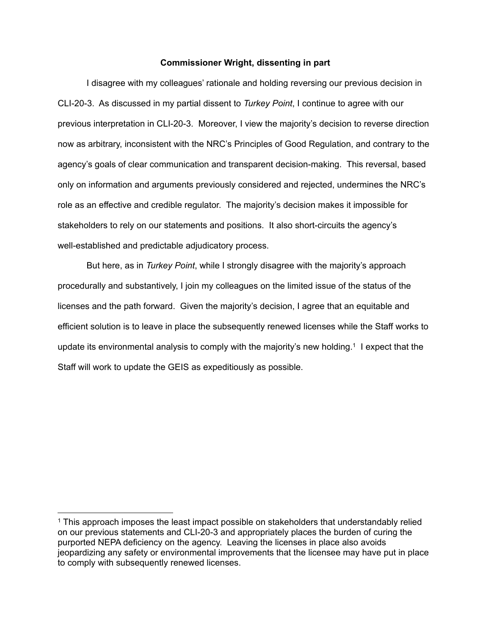#### **Commissioner Wright, dissenting in part**

 I disagree with my colleagues' rationale and holding reversing our previous decision in CLI-20-3. As discussed in my partial dissent to *Turkey Point*, I continue to agree with our previous interpretation in CLI-20-3. Moreover, I view the majority's decision to reverse direction now as arbitrary, inconsistent with the NRC's Principles of Good Regulation, and contrary to the agency's goals of clear communication and transparent decision-making. This reversal, based only on information and arguments previously considered and rejected, undermines the NRC's role as an effective and credible regulator. The majority's decision makes it impossible for stakeholders to rely on our statements and positions. It also short-circuits the agency's well-established and predictable adjudicatory process.

 But here, as in *Turkey Point*, while I strongly disagree with the majority's approach procedurally and substantively, I join my colleagues on the limited issue of the status of the licenses and the path forward. Given the majority's decision, I agree that an equitable and efficient solution is to leave in place the subsequently renewed licenses while the Staff works to update its environmental analysis to comply with the majority's new holding.1 I expect that the Staff will work to update the GEIS as expeditiously as possible.

<sup>&</sup>lt;sup>1</sup> This approach imposes the least impact possible on stakeholders that understandably relied on our previous statements and CLI-20-3 and appropriately places the burden of curing the purported NEPA deficiency on the agency. Leaving the licenses in place also avoids jeopardizing any safety or environmental improvements that the licensee may have put in place to comply with subsequently renewed licenses.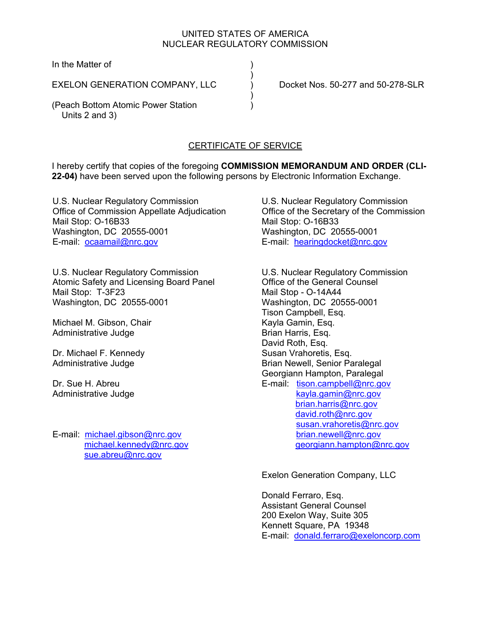## UNITED STATES OF AMERICA NUCLEAR REGULATORY COMMISSION

In the Matter of

EXELON GENERATION COMPANY, LLC ) Docket Nos. 50-277 and 50-278-SLR

 $)$ 

 $)$ 

(Peach Bottom Atomic Power Station ) Units 2 and 3)

# CERTIFICATE OF SERVICE

I hereby certify that copies of the foregoing **COMMISSION MEMORANDUM AND ORDER (CLI-22-04)** have been served upon the following persons by Electronic Information Exchange.

U.S. Nuclear Regulatory Commission Office of Commission Appellate Adjudication Mail Stop: O-16B33 Washington, DC 20555-0001 E-mail: ocaamail@nrc.gov

U.S. Nuclear Regulatory Commission Atomic Safety and Licensing Board Panel Mail Stop: T-3F23 Washington, DC 20555-0001

Michael M. Gibson, Chair Administrative Judge

Dr. Michael F. Kennedy Administrative Judge

Dr. Sue H. Abreu Administrative Judge

E-mail: michael.gibson@nrc.gov michael.kennedy@nrc.gov sue.abreu@nrc.gov

U.S. Nuclear Regulatory Commission Office of the Secretary of the Commission Mail Stop: O-16B33 Washington, DC 20555-0001 E-mail: hearingdocket@nrc.gov

U.S. Nuclear Regulatory Commission Office of the General Counsel Mail Stop - O-14A44 Washington, DC 20555-0001 Tison Campbell, Esq. Kayla Gamin, Esq. Brian Harris, Esq. David Roth, Esq. Susan Vrahoretis, Esq. Brian Newell, Senior Paralegal Georgiann Hampton, Paralegal E-mail: tison.campbell@nrc.gov kayla.gamin@nrc.gov brian.harris@nrc.gov david.roth@nrc.gov susan.vrahoretis@nrc.gov brian.newell@nrc.gov georgiann.hampton@nrc.gov

Exelon Generation Company, LLC

Donald Ferraro, Esq. Assistant General Counsel 200 Exelon Way, Suite 305 Kennett Square, PA 19348 E-mail: donald.ferraro@exeloncorp.com